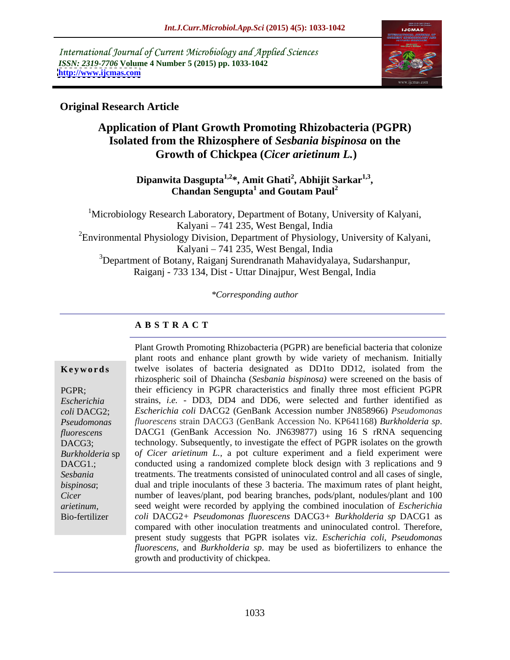International Journal of Current Microbiology and Applied Sciences *ISSN: 2319-7706* **Volume 4 Number 5 (2015) pp. 1033-1042 <http://www.ijcmas.com>**



## **Original Research Article**

# **Application of Plant Growth Promoting Rhizobacteria (PGPR) Isolated from the Rhizosphere of** *Sesbania bispinosa* **on the Growth of Chickpea (***Cicer arietinum L.***)**

**Dipanwita Dasgupta**<sup>1,2\*</sup>, Amit Ghati<sup>2</sup>, Abhijit Sarkar<sup>1,3</sup>, **, Abhijit Sarkar1,3 , Chandan Sengupta<sup>1</sup> and Goutam Paul<sup>2</sup>**

<sup>1</sup>Microbiology Research Laboratory, Department of Botany, University of Kalyani, Kalyani – 741 235, West Bengal, India <sup>2</sup>Environmental Physiology Division, Department of Physiology, University of Kalyani, Kalyani – 741 235, West Bengal, India 3Department of Botany, Raiganj Surendranath Mahavidyalaya, Sudarshanpur, Raiganj - 733 134, Dist - Uttar Dinajpur, West Bengal, India

*\*Corresponding author*

### **A B S T R A C T**

Bio-fertilizer

Plant Growth Promoting Rhizobacteria (PGPR) are beneficial bacteria that colonize plant roots and enhance plant growth by wide variety of mechanism. Initially **Keywords** twelve isolates of bacteria designated as DD1to DD12, isolated from the rhizospheric soil of Dhaincha (*Sesbania bispinosa)* were screened on the basis of PGPR; their efficiency in PGPR characteristics and finally three most efficient PGPR strains, *i.e.* - DD3, DD4 and DD6, were selected and further identified as *Escherichia Escherichia coli* DACG2 (GenBank Accession number JN858966) *Pseudomonas coli* DACG2; *fluorescens* strain DACG3 (GenBank Accession No. KP641168) *Burkholderia sp*. DACG1 (GenBank Accession No. JN639877) using <sup>16</sup> <sup>S</sup> rRNA sequencing DACG3; technology. Subsequently, to investigate the effect of PGPR isolates on the growth Burkholderia sp of Cicer arietinum L., a pot culture experiment and a field experiment were DACG1.; conducted using a randomized complete block design with 3 replications and 9 treatments. The treatments consisted of uninoculated control and all cases of single, *Sesbania*  dual and triple inoculants of these 3 bacteria. The maximum rates of plant height, *bispinosa*; number of leaves/plant, pod bearing branches, pods/plant, nodules/plant and 100 *Cicer*  seed weight were recorded by applying the combined inoculation of *Escherichia arietinum, coli* DACG2*+ Pseudomonas fluorescens* DACG3*+ Burkholderia sp* DACG1 as compared with other inoculation treatments and uninoculated control. Therefore, present study suggests that PGPR isolates viz. *Escherichia coli*, *Pseudomonas fluorescens,* and *Burkholderia sp*. may be used as biofertilizers to enhance the growth and productivity of chickpea. *Pseudomonas fluorescens* **DACG1** (GenBank Accession No. JN639877) using 16 S rRNA sequencing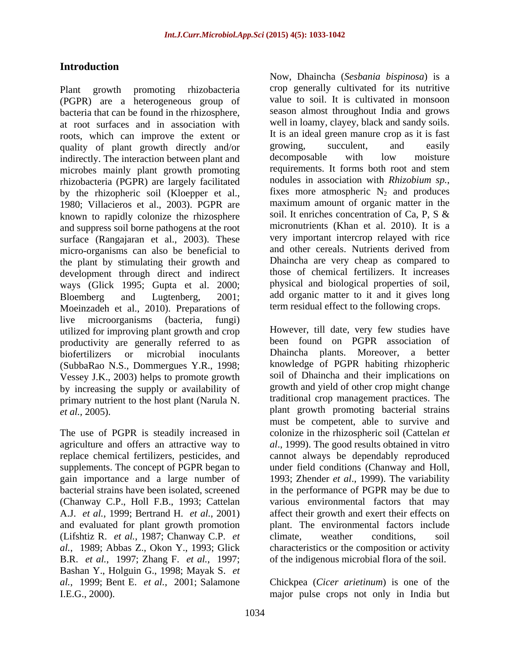## **Introduction**

(PGPR) are a heterogeneous group of bacteria that can be found in the rhizosphere, at root surfaces and in association with roots, which can improve the extent or Theorem is an ideal green manure crop as it is fast<br>quality of plant growth directly and/or growing, succulent, and easily quality of plant growth directly and/or growing, succulent, and easily indirectly The interaction between plant and decomposable with low moisture indirectly. The interaction between plant and microbes mainly plant growth promoting<br>rhizobacteria (PGPR) are largely facilitated nodules in association with *Rhizobium sp.*, rhizobacteria (PGPR) are largely facilitated nodules in association with *Rhizobium sp.*,<br>by the rhizopheric soil (Kloenper et al., fixes more atmospheric  $N_2$  and produces by the rhizopheric soil (Kloepper et al., 1980; Villacieros et al., 2003). PGPR are maximum amount of organic matter in the known to rapidly colonize the rhizosphere soil. It enriches concentration of Ca, P, S & known to rapidly colonize the rhizosphere and suppress soil borne pathogens at the root surface (Rangajaran et al., 2003). These very important intercrop relayed with rice<br>micro-organisms can also be beneficial to and other cereals. Nutrients derived from micro-organisms can also be beneficial to the plant by stimulating their growth and development through direct and indirect ways (Glick 1995; Gupta et al. 2000; Bloemberg and Lugtenberg, 2001; add organic matter to it and it gives long Moeinzadeh et al., 2010). Preparations of live microorganisms (bacteria, fungi) utilized for improving plant growth and crop productivity are generally referred to as been found on PGPR association of hiofertilizers or microbial inoculants. Dhaincha plants. Moreover, a better biofertilizers or microbial inoculants Dhaincha plants. Moreover, a better (SubbaRao N.S., Dommergues Y.R., 1998; Vessey J.K., 2003) helps to promote growth by increasing the supply or availability of primary nutrient to the host plant (Narula N. traditional crop management practices. The *et al.*, 2005). <br>*et al.*, 2005).

(Lifshtiz R. *et al.*, 1987; Chanway C.P. *et* B.R. *et al.*, 1997; Zhang F. *et al.*, 1997; Bashan Y., Holguin G., 1998; Mayak S. *et al.*, 1999; Bent E. *et al.*, 2001; Salamone Chickpea (*Cicer arietinum*) is one of the

Plant growth promoting rhizobacteria crop generally cultivated for its nutritive Now, Dhaincha (*Sesbania bispinosa*) is a value to soil. It is cultivated in monsoon season almost throughout India and grows well in loamy, clayey, black and sandy soils. It is an ideal green manure crop as it is fast growing, succulent, and easily decomposable with low moisture requirements. It forms both root and stem nodules in association with *Rhizobium sp.*, fixes more atmospheric  $N_2$  and produces maximum amount of organic matter in the soil. It enriches concentration of Ca, P, S & micronutrients (Khan et al. 2010). It is a very important intercrop relayed with rice and other cereals. Nutrients derived from Dhaincha are very cheap as compared to those of chemical fertilizers. It increases physical and biological properties of soil, term residual effect to the following crops.

The use of PGPR is steadily increased in colonize in the rhizospheric soil (Cattelan *et*  agriculture and offers an attractive way to *al*., 1999). The good results obtained in vitro replace chemical fertilizers, pesticides, and cannot always be dependably reproduced supplements. The concept of PGPR began to under field conditions (Chanway and Holl, gain importance and a large number of 1993; Zhender *et al*., 1999). The variability bacterial strains have been isolated, screened in the performance of PGPR may be due to (Chanway C.P., Holl F.B., 1993; Cattelan various environmental factors that may A.J. *et al.*, 1999; Bertrand H. *et al.*, 2001) affect their growth and exert their effects on and evaluated for plant growth promotion plant. The environmental factors include *al.*, 1989; Abbas Z., Okon Y., 1993; Glick characteristics or the composition or activity However, till date, very few studies have been found on PGPR association of Dhaincha plants. Moreover, a better knowledge of PGPR habiting rhizopheric soil of Dhaincha and their implications on growth and yield of other crop might change traditional crop management practices. The plant growth promoting bacterial strains must be competent, able to survive and climate, weather conditions, soil of the indigenous microbial flora of the soil.

I.E.G., 2000). major pulse crops not only in India but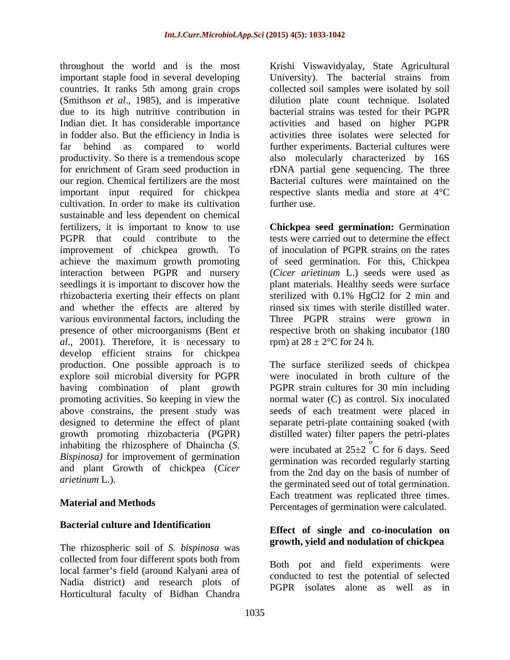throughout the world and is the most Krishi Viswavidyalay, State Agricultural important staple food in several developing countries. It ranks 5th among grain crops collected soil samples were isolated by soil (Smithson *et al*., 1985), and is imperative dilution plate count technique. Isolated due to its high nutritive contribution in bacterial strains was tested for their PGPR Indian diet. It has considerable importance in fodder also. But the efficiency in India is activities three isolates were selected for far behind as compared to world further experiments. Bacterial cultures were productivity. So there is a tremendous scope also molecularly characterized by 16S for enrichment of Gram seed production in rDNA partial gene sequencing. The three our region. Chemical fertilizers are the most important input required for chickpea cultivation. In order to make its cultivation further use. sustainable and less dependent on chemical fertilizers, it is important to know to use **Chickpea seed germination:** Germination PGPR that could contribute to the tests were carried out to determine the effect improvement of chickpea growth. To achieve the maximum growth promoting of seed germination. For this, Chickpea interaction between PGPR and nursery (*Cicer arietinum* L.) seeds were used as seedlings it is important to discover how the plant materials. Healthy seeds were surface rhizobacteria exerting their effects on plant sterilized with 0.1% HgCl2 for 2 min and and whether the effects are altered by rinsed six times with sterile distilled water. various environmental factors, including the presence of other microorganisms (Bent *et*  respective broth on shaking incubator (180 *al*., 2001). Therefore, it is necessary to develop efficient strains for chickpea production. One possible approach is to The surface sterilized seeds of chickpea explore soil microbial diversity for PGPR were inoculated in broth culture of the having combination of plant growth PGPR strain cultures for 30 min including promoting activities. So keeping in view the normal water (C) as control. Six inoculated above constrains, the present study was designed to determine the effect of plant designed to determine the effect of plant separate petri-plate containing soaked (with growth promoting rhizobacteria (PGPR) distilled water) filter papers the petri-plates inhabiting the rhizosphere of Dhaincha (*S. Bispinosa)* for improvement of germination and plant Growth of chickpea (*Cicer* 

### **Bacterial culture and Identification**

The rhizospheric soil of *S. bispinosa* was collected from four different spots both from local farmer's field (around Kalyani area of Nadia district) and research plots of Horticultural faculty of Bidhan Chandra

University). The bacterial strains from activities and based on higher PGPR Bacterial cultures were maintained on the respective slants media and store at 4°C further use.

of inoculation of PGPR strains on the rates Three PGPR strains were grown in rpm) at  $28 \pm 2$ °C for 24 h.

*arietinum* L.). the germinated seed out of total germination. **Material and Methods**<br> **Percentages of germination were calculated.** seeds of each treatment were placed in were incubated at  $25\pm2$  C for 6 days. Seed  $\overrightarrow{C}$  for 6 days. Seed germination was recorded regularly starting from the 2nd day on the basis of number of Each treatment was replicated three times.

### **Effect of single and co-inoculation on growth, yield and nodulation of chickpea**

Both pot and field experiments were conducted to test the potential of selected PGPR isolates alone as well as in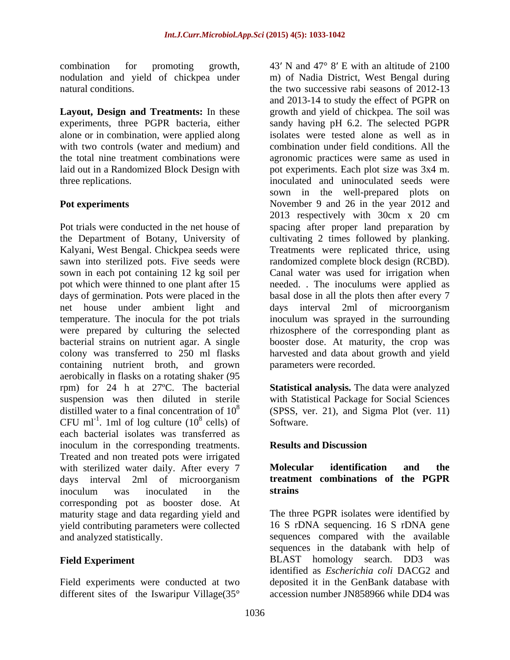nodulation and yield of chickpea under

alone or in combination, were applied along with two controls (water and medium) and

containing nutrient broth, and grown aerobically in flasks on a rotating shaker (95 rpm) for 24 h at 27ºC. The bacterial **Statistical analysis.** The data were analyzed suspension was then diluted in sterile with Statistical Package for Social Sciences distilled water to a final concentration of  $10^8$  (SPSS, ver. 21), and Sigma Plot (ver. 11) CFU ml<sup>-1</sup>. 1ml of log culture  $(10^8 \text{ cells})$  of Software. each bacterial isolates was transferred as inoculum in the corresponding treatments. **Results and Discussion** Treated and non treated pots were irrigated<br>with sterilized water daily After every 7 **Molecular identification** with sterilized water daily. After every 7 **Molecular identification and the** days interval 2ml of microorganism **treatment combinations of the PGPR** inoculum was inoculated in the **strains** corresponding pot as booster dose. At maturity stage and data regarding yield and yield contributing parameters were collected<br>and analyzed statistically.

different sites of the Iswaripur Village(35°

combination for promoting growth, 43' N and 47° 8' E with an altitude of 2100 natural conditions. the two successive rabi seasons of 2012-13 **Layout, Design and Treatments:** In these growth and yield of chickpea. The soil was experiments, three PGPR bacteria, either sandy having pH 6.2. The selected PGPR the total nine treatment combinations were agronomic practices were same as used in laid out in a Randomized Block Design with pot experiments. Each plot size was 3x4 m. three replications. inoculated and uninoculated seeds were **Pot experiments Pot experiments November 9 and 26 in the year 2012 and** Pot trials were conducted in the net house of spacing after proper land preparation by the Department of Botany, University of cultivating 2 times followed by planking. Kalyani, West Bengal. Chickpea seeds were Treatments were replicated thrice, using sawn into sterilized pots. Five seeds were randomized complete block design (RCBD). sown in each pot containing 12 kg soil per Canal water was used for irrigation when pot which were thinned to one plant after 15 needed. . The inoculums were applied as days of germination. Pots were placed in the basal dose in all the plots then after every 7 net house under ambient light and days interval 2ml of microorganism temperature. The inocula for the pot trials inoculum was sprayed in the surrounding were prepared by culturing the selected rhizosphere of the corresponding plant as bacterial strains on nutrient agar. A single booster dose. At maturity, the crop was colony was transferred to 250 ml flasks harvested and data about growth and yield m) of Nadia District, West Bengal during and 2013-14 to study the effect of PGPR on isolates were tested alone as well as in combination under field conditions. All the sown in the well-prepared plots on 2013 respectively with 30cm x 20 cm parameters were recorded.

 $\frac{8}{2}$  collecting  $\frac{8}{2}$  collections cells) of Software. Software.

### **Results and Discussion**

### **Molecular identification and the treatment combinations of the PGPR strains**

and analyzed statistically. sequences compared with the available **Field Experiment** BLAST homology search. DD3 was Field experiments were conducted at two deposited it in the GenBank database with The three PGPR isolates were identified by 16 S rDNA sequencing. 16 S rDNA gene sequences in the databank with help of identified as *Escherichia coli* DACG2 and accession number JN858966 while DD4 was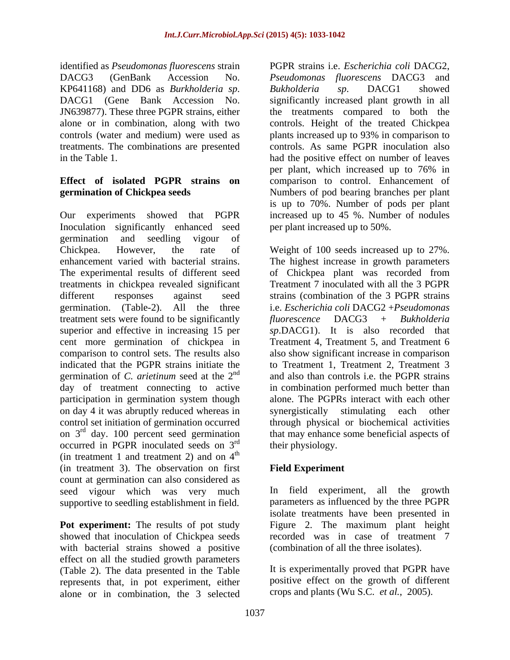identified as *Pseudomonas fluorescens* strain treatments. The combinations are presented

Inoculation significantly enhanced seed germination and seedling vigour of Chickpea. However, the rate of Weight of 100 seeds increased up to 27%. enhancement varied with bacterial strains. The highest increase in growth parameters The experimental results of different seed of Chickpea plant was recorded from treatments in chickpea revealed significant Treatment 7 inoculated with all the 3 PGPR different responses against seed strains (combination of the 3 PGPR strains germination. (Table-2). All the three i.e. *Escherichia coli* DACG2 +*Pseudomonas*  treatment sets were found to be significantly fluorescence DACG3 + Bukholderia superior and effective in increasing 15 per cent more germination of chickpea in Treatment 4, Treatment 5, and Treatment 6 comparison to control sets. The results also also show significant increase in comparison indicated that the PGPR strains initiate the to Treatment 1, Treatment 2, Treatment 3 germination of *C. arietinum* seed at the 2 day of treatment connecting to active in combination performed much better than participation in germination system though alone. The PGPRs interact with each other on day 4 it was abruptly reduced whereas in synergistically stimulating each other control set initiation of germination occurred through physical or biochemical activities on  $3<sup>rd</sup>$  day. 100 percent seed germination occurred in PGPR inoculated seeds on 3 (in treatment 1 and treatment 2) and on  $4<sup>th</sup>$ (in treatment 3). The observation on first count at germination can also considered as seed vigour which was very much supportive to seedling establishment in field.

**Pot experiment:** The results of pot study Figure 2. The maximum plant height showed that inoculation of Chickpea seeds with bacterial strains showed a positive effect on all the studied growth parameters (Table 2). The data presented in the Table represents that, in pot experiment, either alone or in combination, the 3 selected

DACG3 (GenBank Accession No. *Pseudomonas fluorescens* DACG3 and KP641168) and DD6 as *Burkholderia sp.* Bukholderia *sp.* DACG1 showed<br>DACG1 (Gene Bank Accession No. significantly increased plant growth in all<br>JN639877). These three PGPR strains, either the treatments compared to both alone or in combination, along with two controls. Height of the treated Chickpea controls (water and medium) were used as plants increased up to 93% in comparison to in the Table 1. had the positive effect on number of leaves **Effect of isolated PGPR strains on** comparison to control. Enhancement of **germination of Chickpea seeds** Numbers of pod bearing branches per plant Our experiments showed that PGPR increased up to 45 %. Number of nodules PGPR strains i.e. *Escherichia coli* DACG2, *Bukholderia sp*. DACG1 showed significantly increased plant growth in all the treatments compared to both the controls. As same PGPR inoculation also per plant, which increased up to 76% in is up to 70%. Number of pods per plant per plant increased up to 50%.

nd and also than controls i.e. the PGPR strains <sup>rd</sup> day. 100 percent seed germination that may enhance some beneficial aspects of  $r<sup>rd</sup>$  their physiology  $\mathbf{t}$  the state of  $\mathbf{t}$  is the state of  $\mathbf{t}$  in the state of  $\mathbf{t}$  is the state of  $\mathbf{t}$  in the state of  $\mathbf{t}$  is the state of  $\mathbf{t}$  is the state of  $\mathbf{t}$  is the state of  $\mathbf{t}$  is the state of Treatment 7 inoculated with all the 3 PGPR *fluorescence* DACG3 + *Bukholderia sp*.DACG1). It is also recorded that their physiology.

## **Field Experiment**

In field experiment, all the growth parameters as influenced by the three PGPR isolate treatments have been presented in recorded was in case of treatment 7 (combination of all the three isolates).

It is experimentally proved that PGPR have positive effect on the growth of different crops and plants (Wu S.C. *et al.*, 2005).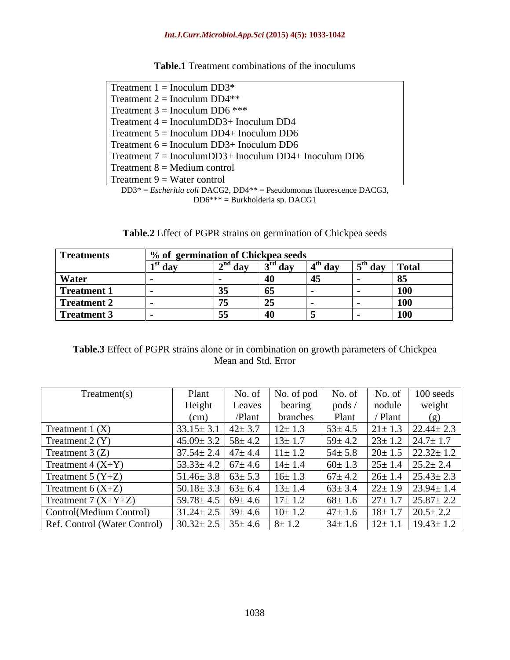### *Int.J.Curr.Microbiol.App.Sci* **(2015) 4(5): 1033-1042**

| Table.1 Trea<br><b>1</b> Treatment combinations of the inoculums |  |
|------------------------------------------------------------------|--|
|------------------------------------------------------------------|--|

| Treatment $1 = Inoculum DD3*$                                           |
|-------------------------------------------------------------------------|
| Treatment $2 = Inoculum DD4**$                                          |
| Treatment $3 = Inoculum DD6$ ***                                        |
| Treatment $4 = InoculumDD3+ Inoculum DD4$                               |
| Treatment $5 = Inoculum DD4 + Inoculum DD6$                             |
| Treatment $6 = Inoculum DD3+ Inoculum DD6$                              |
| Treatment $7 = InoculumDD3+ Inoculum DD4+ Inoculum DD6$                 |
| Treatment $8 =$ Medium control                                          |
| Treatment $9 = Water$ control                                           |
| $DD3* = Escheritia coli DACG2, DD4** = Pseudomonus fluorescence DACG3,$ |

DD6\*\*\* = Burkholderia sp. DACG1

| <b>Table.2</b> Effect of PGPR strains on germination of Chickpea seeds |  |
|------------------------------------------------------------------------|--|
|                                                                        |  |

| <b>Treatments</b> | % of germination of Chickpea seeds |                          |                     |           |                 |     |
|-------------------|------------------------------------|--------------------------|---------------------|-----------|-----------------|-----|
|                   | ⊥ dav                              | $\gamma^{\text{nd}}$ dov | $\mathbf{a}$<br>ua  | $4th$ day | $5th$ day Total |     |
| <b>Water</b>      |                                    |                          | - T                 |           |                 |     |
| Treatment 1       |                                    | ັບ                       | - 02                |           |                 | TVA |
| Treatment 2       |                                    | 。<br>←                   | $\rightarrow$<br>ن⊿ |           |                 | TÛ  |
| Treatment 3       |                                    | ັບປ                      | 40                  |           |                 | TÛÛ |

### **Table.3** Effect of PGPR strains alone or in combination on growth parameters of Chickpea Mean and Std. Error

| Treatment(s)                 | Plant                          | No. of | No. of pod   | No. of       | No. of       | 100 seeds                      |
|------------------------------|--------------------------------|--------|--------------|--------------|--------------|--------------------------------|
|                              | Height                         | Leaves | bearing      | pods.        | nodule       | weight                         |
|                              | (cm                            | /Plant | branches     | Plant        | Plant        |                                |
| Treatment $1(X)$             | $33.15 \pm 3.1$ $42 \pm 3.7$   |        | $12 \pm 1.3$ | $53 \pm 4.5$ |              | $21 \pm 1.3$   22.44 $\pm$ 2.3 |
| Treatment $2(Y)$             | $45.09 \pm 3.2$   $58 \pm 4.2$ |        | $13 \pm 1.7$ | $59 \pm 4.2$ |              | $23 \pm 1.2$ 24.7 $\pm 1.7$    |
| Treatment $3(Z)$             | $37.54 \pm 2.4$ 47 ± 4.4       |        | $11 \pm 1.2$ | $54 \pm 5.8$ |              | $120 \pm 1.5$ 22.32 $\pm 1.2$  |
| Treatment $4(X+Y)$           | $53.33 \pm 4.2$ 67 ± 4.6       |        | $14 \pm 1.4$ | $60 \pm 1.3$ |              | $25 \pm 1.4$   $25.2 \pm 2.4$  |
| Treatment 5 $(Y+Z)$          | $51.46 \pm 3.8$ 63 $\pm 5.3$   |        |              | $67 \pm 4.2$ |              | $26 \pm 1.4$ $25.43 \pm 2.3$   |
| Treatment $6(X+Z)$           | $50.18 \pm 3.3$ 63 ± 6.4       |        | $13 \pm 1.4$ | $63 \pm 3.4$ |              | $22 \pm 1.9$ 23.94 ± 1.4       |
| Treatment 7 $(X+Y+Z)$        | $ 59.78 \pm 4.5  69 \pm 4.6 $  |        | $17 \pm 1.2$ | $68 \pm 1.6$ | $27 \pm 1.7$ | $25.87 \pm 2.2$                |
| Control(Medium Control)      | $31.24 \pm 2.5$ 39 ± 4.6       |        | $+$ $+$      | $47 \pm 1.6$ | $18 \pm 1.7$ | $20.5 \pm 2.2$                 |
| Ref. Control (Water Control) | $30.32 \pm 2.5$ 35 ± 4.6       |        | $8 \pm 1.2$  | $34 \pm 1.6$ | $12 \pm 1.1$ | $19.43 \pm 1.2$                |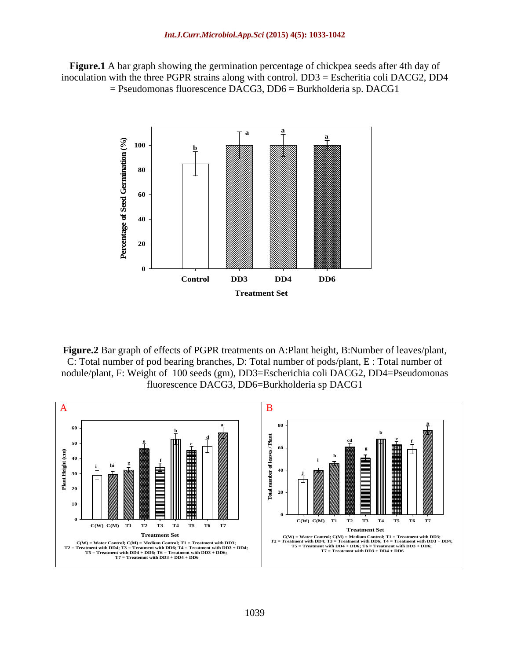**Figure.1** A bar graph showing the germination percentage of chickpea seeds after 4th day of inoculation with the three PGPR strains along with control. DD3 = Escheritia coli DACG2, DD4 = Pseudomonas fluorescence DACG3, DD6 = Burkholderia sp. DACG1



**Figure.2** Bar graph of effects of PGPR treatments on A:Plant height, B:Number of leaves/plant, C: Total number of pod bearing branches, D: Total number of pods/plant, E : Total number of nodule/plant, F: Weight of 100 seeds (gm), DD3=Escherichia coli DACG2, DD4=Pseudomonas fluorescence DACG3, DD6=Burkholderia sp DACG1

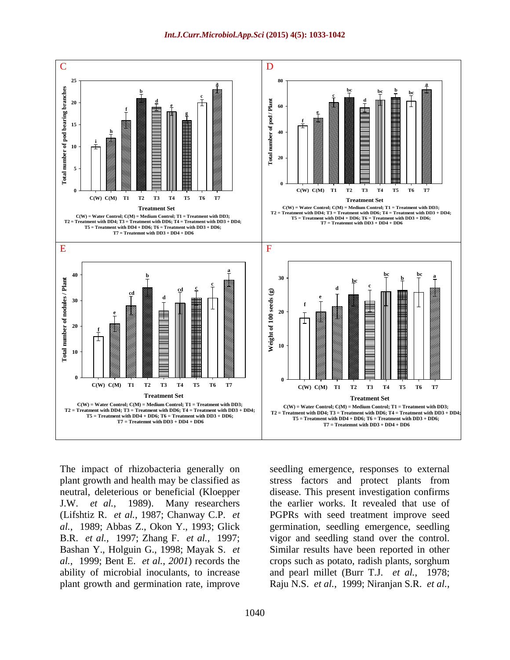

The impact of rhizobacteria generally on seedling emergence, responses to external (Lifshtiz R. *et al.*, 1987; Chanway C.P. *et*

plant growth and health may be classified as stress factors and protect plants from neutral, deleterious or beneficial (Kloepper disease. This present investigation confirms J.W. *et al.*, 1989). Many researchers the earlier works. It revealed that use of *al.*, 1989; Abbas Z., Okon Y., 1993; Glick germination, seedling emergence, seedling B.R. *et al.*, 1997; Zhang F. *et al.*, 1997; vigor and seedling stand over the control. Bashan Y., Holguin G., 1998; Mayak S. *et* Similar resultshave been reported in other *al.*, 1999; Bent E. *et al.*, *2001*) records the crops such as potato, radish plants, sorghum ability of microbial inoculants, to increase and pearl millet (Burr T.J. *et al.*, 1978; plant growth and germination rate, improve Raju N.S. *et al.*, 1999; Niranjan S.R. *et al.*, PGPRs with seed treatment improve seed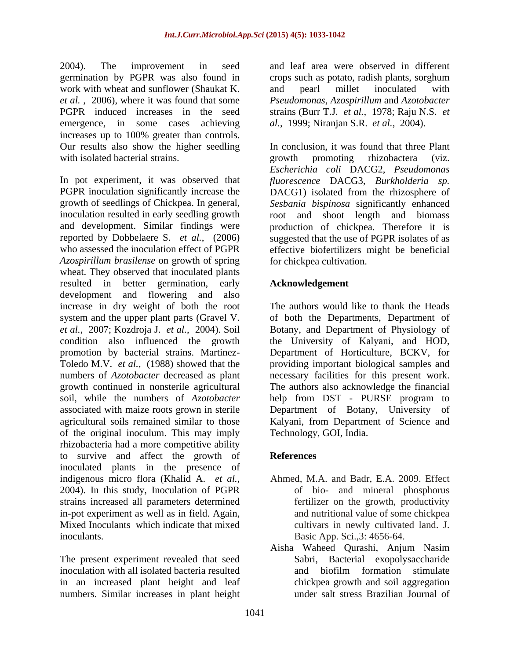2004). The improvement in seed and leaf area were observed in different germination by PGPR was also found in crops such as potato, radish plants, sorghum work with wheat and sunflower (Shaukat K. and pearl millet inoculated with *et al.* , 2006), where it was found that some *Pseudomonas*, *Azospirillum* and *Azotobacter* PGPR induced increases in the seed strains (Burr T.J. *et al.*, 1978; Raju N.S. *et* emergence, in some cases achieving *al.*, 1999; Niranjan S.R. *et al.*, 2004). increases up to 100% greater than controls. Our results also show the higher seedling with isolated bacterial strains. The second of the second promoting the relation of the viz.

In pot experiment, it was observed that *fluorescence* DACG3, *Burkholderia sp.* PGPR inoculation significantly increase the DACG1) isolated from the rhizosphere of growth of seedlings of Chickpea. In general, *Sesbania bispinosa* significantly enhanced inoculation resulted in early seedling growth root and shoot length and biomass and development. Similar findings were production of chickpea. Therefore it is reported by Dobbelaere S. *et al.*, (2006) suggested that the use of PGPR isolates of as who assessed the inoculation effect of PGPR effective biofertilizers might be beneficial *Azospirillum brasilense* on growth of spring wheat. They observed that inoculated plants resulted in better germination, early **Acknowledgement** development and flowering and also increase in dry weight of both the root system and the upper plant parts (Gravel V. of both the Departments, Department of *et al.*, 2007; Kozdroja J. *et al.*, 2004). Soil Botany, and Department of Physiology of condition also influenced the growth the University of Kalyani, and HOD, promotion by bacterial strains. Martinez- Department of Horticulture, BCKV, for Toledo M.V. *et al.*, (1988) showed that the providing important biological samples and numbers of *Azotobacter* decreased as plant necessary facilities for this present work. growth continued in nonsterile agricultural The authors also acknowledge the financial soil, while the numbers of *Azotobacter* help from DST - PURSE program to associated with maize roots grown in sterile Department of Botany, University of agricultural soils remained similar to those Kalyani, from Department of Science and of the original inoculum. This may imply rhizobacteria had a more competitive ability to survive and affect the growth of inoculated plants in the presence of indigenous micro flora (Khalid A. *et al.*, 2004). In this study, Inoculation of PGPR of bio- and mineral phosphorus strains increased all parameters determined in-pot experiment as well as in field. Again, Mixed Inoculants which indicate that mixed cultivars in newly cultivated land. J. inoculants. Basic App. Sci.,3: 4656-64.

The present experiment revealed that seed inoculation with all isolated bacteria resulted and biofilm formation stimulate in an increased plant height and leaf numbers. Similar increases in plant height

and pearl millet inoculated with

In conclusion, it was found that three Plant growth promoting rhizobactera (viz. *Escherichia coli* DACG2, *Pseudomonas*  for chickpea cultivation.

### **Acknowledgement**

The authors would like to thank the Heads Technology, GOI, India.

## **References**

- Ahmed, M.A. and Badr, E.A. 2009. Effect of bio- and mineral phosphorus fertilizer on the growth, productivity and nutritional value of some chickpea
- Aisha Waheed Qurashi, Anjum Nasim Sabri, Bacterial exopolysaccharide and biofilm formation stimulate chickpea growth and soil aggregation under salt stress Brazilian Journal of